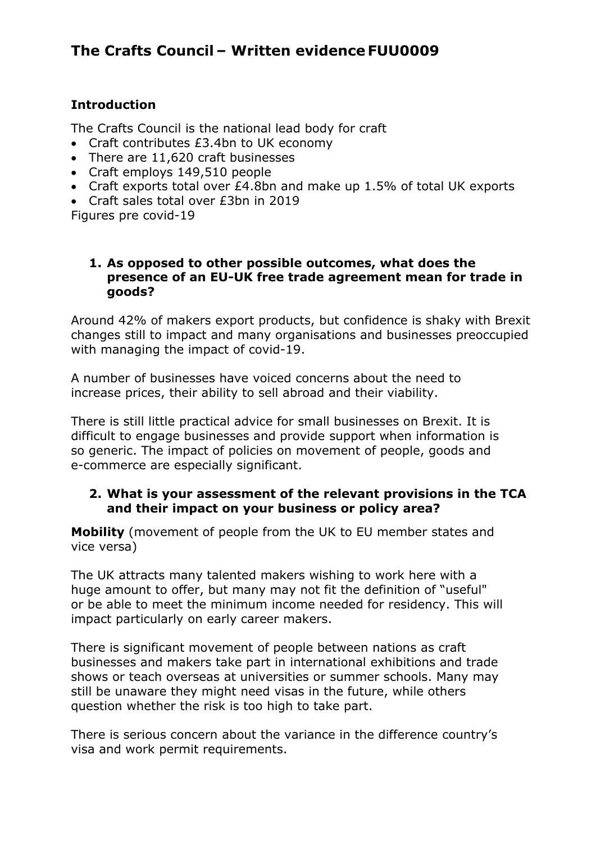# **The Crafts Council – Written evidence FUU0009**

### **Introduction**

The Crafts Council is the national lead body for craft

- Craft contributes £3.4bn to UK economy
- There are 11,620 craft businesses
- Craft employs 149,510 people
- Craft exports total over £4.8bn and make up 1.5% of total UK exports
- Craft sales total over £3bn in 2019

Figures pre covid-19

### **1. As opposed to other possible outcomes, what does the presence of an EU-UK free trade agreement mean for trade in goods?**

Around 42% of makers export products, but confidence is shaky with Brexit changes still to impact and many organisations and businesses preoccupied with managing the impact of covid-19.

A number of businesses have voiced concerns about the need to increase prices, their ability to sell abroad and their viability.

There is still little practical advice for small businesses on Brexit. It is difficult to engage businesses and provide support when information is so generic. The impact of policies on movement of people, goods and e-commerce are especially significant.

### **2. What is your assessment of the relevant provisions in the TCA and their impact on your business or policy area?**

**Mobility** (movement of people from the UK to EU member states and vice versa)

The UK attracts many talented makers wishing to work here with a huge amount to offer, but many may not fit the definition of "useful" or be able to meet the minimum income needed for residency. This will impact particularly on early career makers.

There is significant movement of people between nations as craft businesses and makers take part in international exhibitions and trade shows or teach overseas at universities or summer schools. Many may still be unaware they might need visas in the future, while others question whether the risk is too high to take part.

There is serious concern about the variance in the difference country's visa and work permit requirements.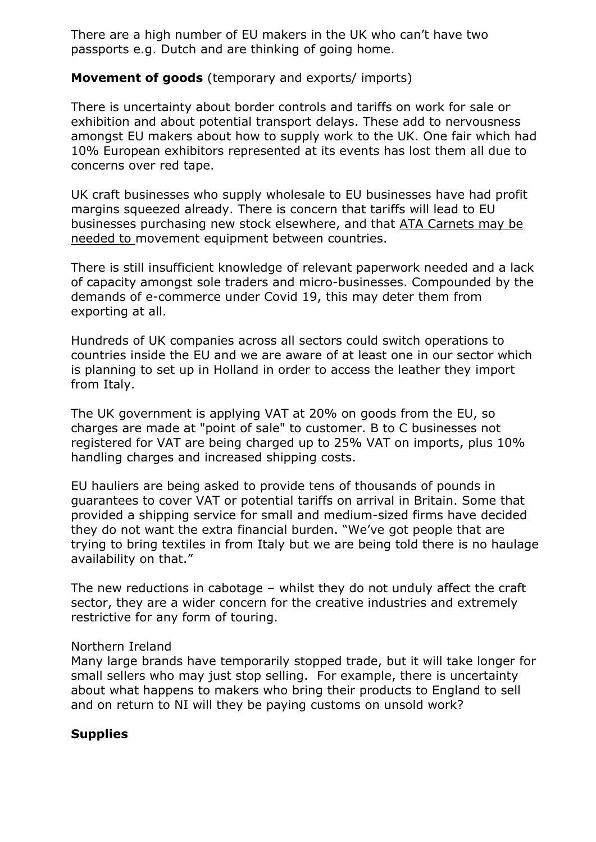There are a high number of EU makers in the UK who can't have two passports e.g. Dutch and are thinking of going home.

### **Movement of goods** (temporary and exports/ imports)

There is uncertainty about border controls and tariffs on work for sale or exhibition and about potential transport delays. These add to nervousness amongst EU makers about how to supply work to the UK. One fair which had 10% European exhibitors represented at its events has lost them all due to concerns over red tape.

UK craft businesses who supply wholesale to EU businesses have had profit margins squeezed already. There is concern that tariffs will lead to EU businesses purchasing new stock elsewhere, and that [ATA](https://www.gov.uk/taking-goods-out-uk-temporarily) [Carnets](https://www.gov.uk/taking-goods-out-uk-temporarily) may be needed to movement equipment between countries.

There is still insufficient knowledge of relevant paperwork needed and a lack of capacity amongst sole traders and micro-businesses. Compounded by the demands of e-commerce under Covid 19, this may deter them from exporting at all.

Hundreds of UK companies across all sectors could switch operations to countries inside the EU and we are aware of at least one in our sector which is planning to set up in Holland in order to access the leather they import from Italy.

The UK government is applying VAT at 20% on goods from the EU, so charges are made at "point of sale" to customer. B to C businesses not registered for VAT are being charged up to 25% VAT on imports, plus 10% handling charges and increased shipping costs.

EU hauliers are being asked to provide tens of thousands of pounds in guarantees to cover VAT or potential tariffs on arrival in Britain. Some that provided a shipping service for small and medium-sized firms have decided they do not want the extra financial burden. "We've got people that are trying to bring textiles in from Italy but we are being told there is no haulage availability on that."

The new reductions in cabotage – whilst they do not unduly affect the craft sector, they are a wider concern for the creative industries and extremely restrictive for any form of touring.

### Northern Ireland

Many large brands have temporarily stopped trade, but it will take longer for small sellers who may just stop selling. For example, there is uncertainty about what happens to makers who bring their products to England to sell and on return to NI will they be paying customs on unsold work?

# **Supplies**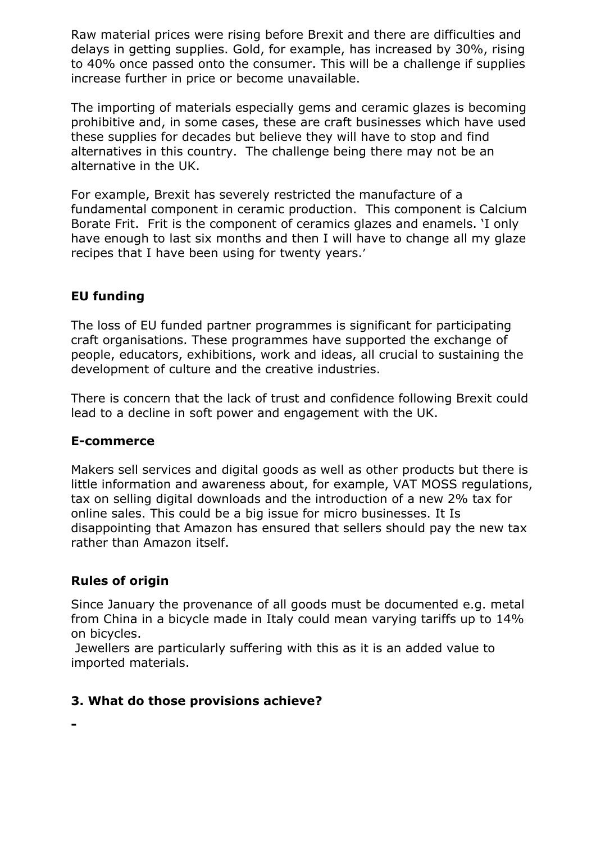Raw material prices were rising before Brexit and there are difficulties and delays in getting supplies. Gold, for example, has increased by 30%, rising to 40% once passed onto the consumer. This will be a challenge if supplies increase further in price or become unavailable.

The importing of materials especially gems and ceramic glazes is becoming prohibitive and, in some cases, these are craft businesses which have used these supplies for decades but believe they will have to stop and find alternatives in this country. The challenge being there may not be an alternative in the UK.

For example, Brexit has severely restricted the manufacture of a fundamental component in ceramic production. This component is Calcium Borate Frit. Frit is the component of ceramics glazes and enamels. 'I only have enough to last six months and then I will have to change all my glaze recipes that I have been using for twenty years.'

# **EU funding**

The loss of EU funded partner programmes is significant for participating craft organisations. These programmes have supported the exchange of people, educators, exhibitions, work and ideas, all crucial to sustaining the development of culture and the creative industries.

There is concern that the lack of trust and confidence following Brexit could lead to a decline in soft power and engagement with the UK.

# **E-commerce**

Makers sell services and digital goods as well as other products but there is little information and awareness about, for example, VAT MOSS regulations, tax on selling digital downloads and the introduction of a new 2% tax for online sales. This could be a big issue for micro businesses. It Is disappointing that Amazon has ensured that sellers should pay the new tax rather than Amazon itself.

# **Rules of origin**

**-**

Since January the provenance of all goods must be documented e.g. metal from China in a bicycle made in Italy could mean varying tariffs up to 14% on bicycles.

Jewellers are particularly suffering with this as it is an added value to imported materials.

# **3. What do those provisions achieve?**